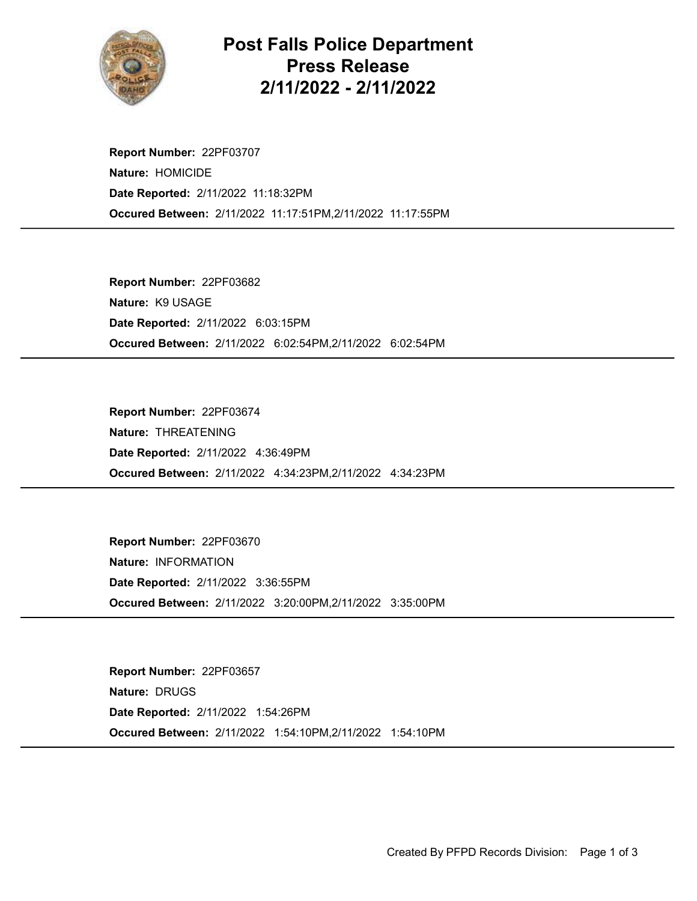

Post Falls Police Department Press Release 2/11/2022 - 2/11/2022

Occured Between: 2/11/2022 11:17:51PM,2/11/2022 11:17:55PM Report Number: 22PF03707 Nature: HOMICIDE Date Reported: 2/11/2022 11:18:32PM

Occured Between: 2/11/2022 6:02:54PM,2/11/2022 6:02:54PM Report Number: 22PF03682 Nature: K9 USAGE Date Reported: 2/11/2022 6:03:15PM

Occured Between: 2/11/2022 4:34:23PM,2/11/2022 4:34:23PM Report Number: 22PF03674 Nature: THREATENING Date Reported: 2/11/2022 4:36:49PM

Occured Between: 2/11/2022 3:20:00PM,2/11/2022 3:35:00PM Report Number: 22PF03670 Nature: INFORMATION Date Reported: 2/11/2022 3:36:55PM

Occured Between: 2/11/2022 1:54:10PM,2/11/2022 1:54:10PM Report Number: 22PF03657 Nature: DRUGS Date Reported: 2/11/2022 1:54:26PM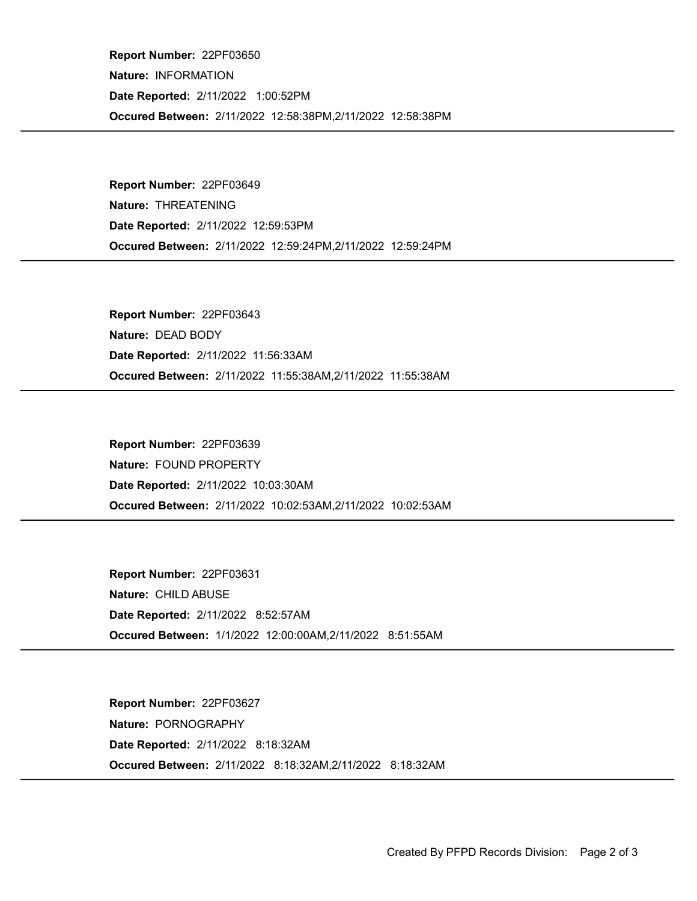Occured Between: 2/11/2022 12:58:38PM,2/11/2022 12:58:38PM Report Number: 22PF03650 Nature: INFORMATION Date Reported: 2/11/2022 1:00:52PM

Occured Between: 2/11/2022 12:59:24PM,2/11/2022 12:59:24PM Report Number: 22PF03649 Nature: THREATENING Date Reported: 2/11/2022 12:59:53PM

Occured Between: 2/11/2022 11:55:38AM,2/11/2022 11:55:38AM Report Number: 22PF03643 Nature: DEAD BODY Date Reported: 2/11/2022 11:56:33AM

Occured Between: 2/11/2022 10:02:53AM,2/11/2022 10:02:53AM Report Number: 22PF03639 Nature: FOUND PROPERTY Date Reported: 2/11/2022 10:03:30AM

Occured Between: 1/1/2022 12:00:00AM,2/11/2022 8:51:55AM Report Number: 22PF03631 Nature: CHILD ABUSE Date Reported: 2/11/2022 8:52:57AM

Occured Between: 2/11/2022 8:18:32AM,2/11/2022 8:18:32AM Report Number: 22PF03627 Nature: PORNOGRAPHY Date Reported: 2/11/2022 8:18:32AM